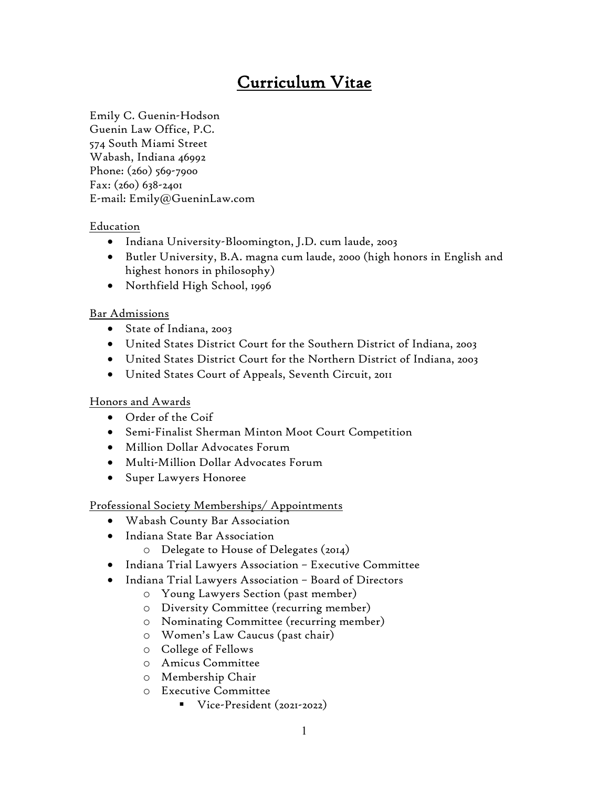# Curriculum Vitae

Emily C. Guenin-Hodson Guenin Law Office, P.C. 574 South Miami Street Wabash, Indiana 46992 Phone: (260) 569-7900 Fax: (260) 638-2401 E-mail: Emily@GueninLaw.com

## Education

- Indiana University-Bloomington, J.D. cum laude, 2003
- Butler University, B.A. magna cum laude, 2000 (high honors in English and highest honors in philosophy)
- Northfield High School, 1996

## Bar Admissions

- State of Indiana, 2003
- United States District Court for the Southern District of Indiana, 2003
- United States District Court for the Northern District of Indiana, 2003
- United States Court of Appeals, Seventh Circuit, 2011

## Honors and Awards

- Order of the Coif
- Semi-Finalist Sherman Minton Moot Court Competition
- Million Dollar Advocates Forum
- Multi-Million Dollar Advocates Forum
- Super Lawyers Honoree

## Professional Society Memberships/ Appointments

- Wabash County Bar Association
- Indiana State Bar Association
	- o Delegate to House of Delegates (2014)
- Indiana Trial Lawyers Association Executive Committee
- Indiana Trial Lawyers Association Board of Directors
	- o Young Lawyers Section (past member)
	- o Diversity Committee (recurring member)
	- o Nominating Committee (recurring member)
	- o Women's Law Caucus (past chair)
	- o College of Fellows
	- o Amicus Committee
	- o Membership Chair
	- o Executive Committee
		- Vice-President (2021-2022)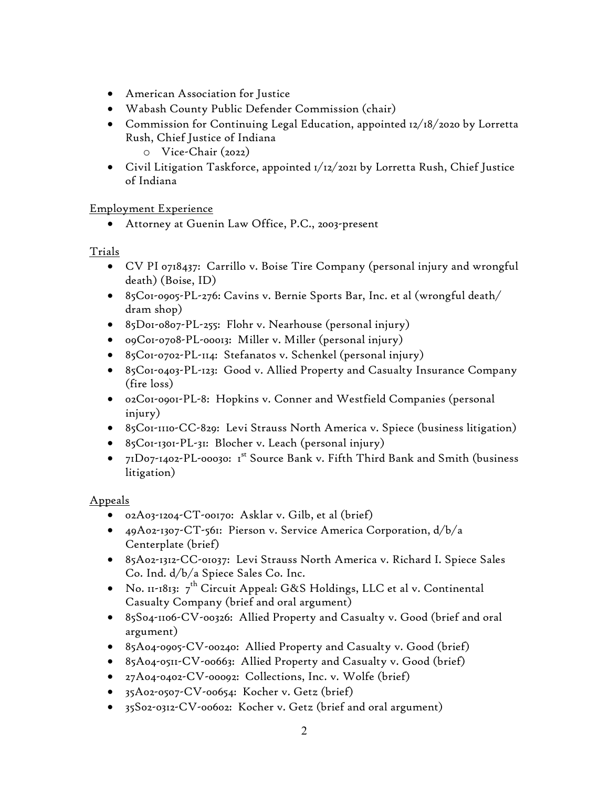- American Association for Justice
- Wabash County Public Defender Commission (chair)
- Commission for Continuing Legal Education, appointed 12/18/2020 by Lorretta Rush, Chief Justice of Indiana o Vice-Chair (2022)
- Civil Litigation Taskforce, appointed 1/12/2021 by Lorretta Rush, Chief Justice of Indiana

Employment Experience

• Attorney at Guenin Law Office, P.C., 2003-present

## Trials

- CV PI 0718437: Carrillo v. Boise Tire Company (personal injury and wrongful death) (Boise, ID)
- 85C01-0905-PL-276: Cavins v. Bernie Sports Bar, Inc. et al (wrongful death/ dram shop)
- 85D01-0807-PL-255: Flohr v. Nearhouse (personal injury)
- 09C01-0708-PL-00013: Miller v. Miller (personal injury)
- 85C01-0702-PL-114: Stefanatos v. Schenkel (personal injury)
- 85C01-0403-PL-123: Good v. Allied Property and Casualty Insurance Company (fire loss)
- 02C01-0901-PL-8: Hopkins v. Conner and Westfield Companies (personal injury)
- 85C01-1110-CC-829: Levi Strauss North America v. Spiece (business litigation)
- 85C01-1301-PL-31: Blocher v. Leach (personal injury)
- $71D07$ -1402-PL-00030: 1<sup>st</sup> Source Bank v. Fifth Third Bank and Smith (business litigation)

## Appeals

- 02A03-1204-CT-00170: Asklar v. Gilb, et al (brief)
- 49A02-1307-CT-561: Pierson v. Service America Corporation, d/b/a Centerplate (brief)
- 85A02-1312-CC-01037: Levi Strauss North America v. Richard I. Spiece Sales Co. Ind. d/b/a Spiece Sales Co. Inc.
- No. 11-1813:  $7^{\text{th}}$  Circuit Appeal: G&S Holdings, LLC et al v. Continental Casualty Company (brief and oral argument)
- 85S04-1106-CV-00326: Allied Property and Casualty v. Good (brief and oral argument)
- 85A04-0905-CV-00240: Allied Property and Casualty v. Good (brief)
- 85A04-0511-CV-00663: Allied Property and Casualty v. Good (brief)
- 27A04-0402-CV-00092: Collections, Inc. v. Wolfe (brief)
- 35A02-0507-CV-00654: Kocher v. Getz (brief)
- 35S02-0312-CV-00602: Kocher v. Getz (brief and oral argument)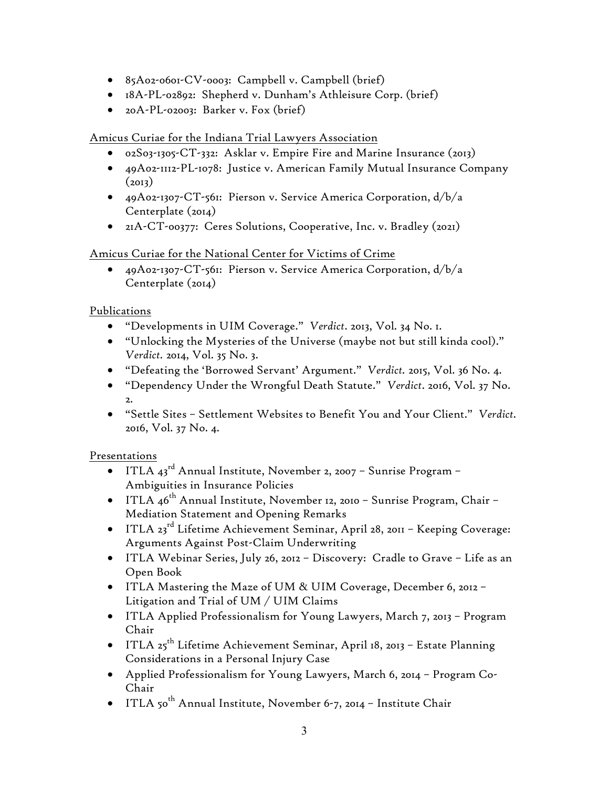- 85A02-0601-CV-0003: Campbell v. Campbell (brief)
- 18A-PL-02892: Shepherd v. Dunham's Athleisure Corp. (brief)
- 20A-PL-02003: Barker v. Fox (brief)

#### Amicus Curiae for the Indiana Trial Lawyers Association

- 02S03-1305-CT-332: Asklar v. Empire Fire and Marine Insurance (2013)
- 49A02-1112-PL-1078: Justice v. American Family Mutual Insurance Company  $(2013)$
- 49A02-1307-CT-561: Pierson v. Service America Corporation, d/b/a Centerplate  $(2014)$
- 21A-CT-00377: Ceres Solutions, Cooperative, Inc. v. Bradley (2021)

## Amicus Curiae for the National Center for Victims of Crime

• 49A02-1307-CT-561: Pierson v. Service America Corporation, d/b/a Centerplate (2014)

## Publications

- "Developments in UIM Coverage." *Verdict*. 2013, Vol. 34 No. 1.
- "Unlocking the Mysteries of the Universe (maybe not but still kinda cool)." *Verdict.* 2014, Vol. 35 No. 3.
- "Defeating the 'Borrowed Servant' Argument." *Verdict.* 2015, Vol. 36 No. 4.
- "Dependency Under the Wrongful Death Statute." *Verdict*. 2016, Vol. 37 No. 2.
- "Settle Sites Settlement Websites to Benefit You and Your Client." *Verdict.* 2016, Vol. 37 No. 4.

## Presentations

- ITLA  $43^{\text{rd}}$  Annual Institute, November 2, 2007 Sunrise Program Ambiguities in Insurance Policies
- ITLA  $46^{\text{th}}$  Annual Institute, November 12, 2010 Sunrise Program, Chair Mediation Statement and Opening Remarks
- ITLA 23<sup>rd</sup> Lifetime Achievement Seminar, April 28, 2011 Keeping Coverage: Arguments Against Post-Claim Underwriting
- ITLA Webinar Series, July 26, 2012 Discovery: Cradle to Grave Life as an Open Book
- ITLA Mastering the Maze of UM & UIM Coverage, December 6, 2012 Litigation and Trial of UM / UIM Claims
- ITLA Applied Professionalism for Young Lawyers, March 7, 2013 Program Chair
- ITLA 25<sup>th</sup> Lifetime Achievement Seminar, April 18, 2013 Estate Planning Considerations in a Personal Injury Case
- Applied Professionalism for Young Lawyers, March 6, 2014 Program Co-Chair
- ITLA 50<sup>th</sup> Annual Institute, November 6-7, 2014 Institute Chair